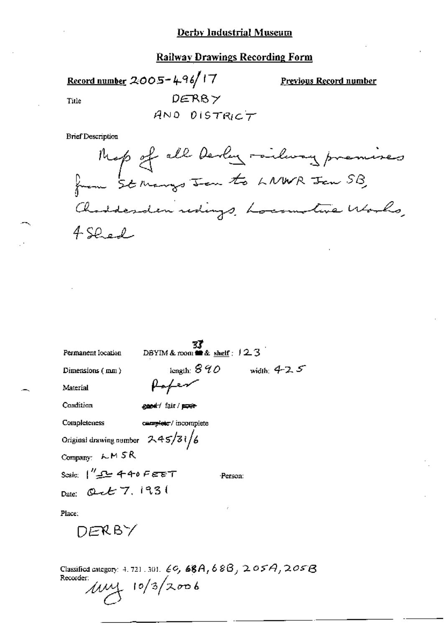#### **Derby Industrial Museum**

# **Railway Drawings Recording Form**

Record number 2005-496/17  $DERB \times$ Title

Previous Record number

AND DISTRICT

**Brief Description** 

Map of all devly railway premises Chadderden redings, Locamotive Works,<br>4 Shed

| Permanent Iocation                          | DBYIM & room $\blacksquare$ & shelf : $12.3$ |                |
|---------------------------------------------|----------------------------------------------|----------------|
| Dimensions (mm)                             | length: $8\,40^\circ$                        | width: $4-2.5$ |
| Material                                    | Hofen                                        |                |
| Condition                                   | general of fair / paper-                     |                |
| Completeness                                | camplete / incomplete                        |                |
| Original drawing number $245/31/6$          |                                              |                |
| Company: LM SR                              |                                              |                |
| Scale: $1''$ $\mathcal{L}$ $\cong$ 440 FEET |                                              | Person:        |
| Date: Quet 7, 1931                          |                                              |                |
| Place:                                      |                                              | ÷              |

DERBY

Classified category: 4, 721, 301, 60, 68A, 68B, 205A, 205B  $10/3/2006$ Recorder: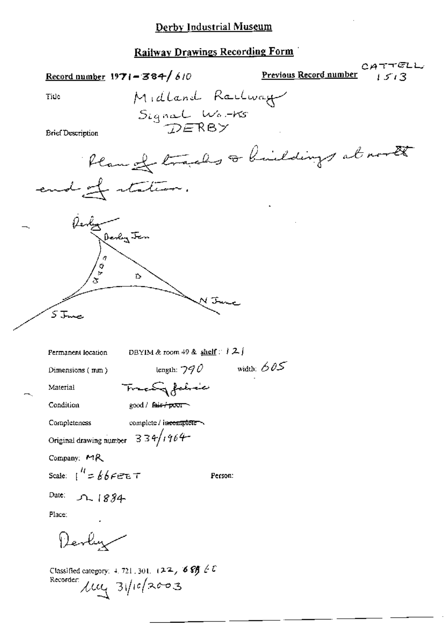## **Railway Drawings Recording Form**

CATTELL Previous Record number Record number  $1971 - 384 / 610$ Midland Railway Title Signal Works **Brief Description** Plan of tracks a buildings at north end of station. Redy<br>Derby Jen  $\frac{1}{\sigma}$ Ď. ハエ 5 June **Permanent location** DBYIM & room 49 & shelf  $\therefore$   $\downarrow$  2. length:  $790$  width:  $605$ Dimensions (mm) Treaty fabric Material Condition good / fair / poor Completeness complete / incomplete Original drawing number  $334/1964$ Company: MR Scale:  $1'' = 666655$ Person: Date:  $221884$ Place: Devly Classified category: 4, 721, 301,  $(22, 68) \neq 0$ Recorder  $\mu$   $\frac{1}{\sqrt{1-\frac{1}{\sqrt{1-\frac{1}{\sqrt{1-\frac{1}{\sqrt{1-\frac{1}{\sqrt{1-\frac{1}{\sqrt{1-\frac{1}{\sqrt{1-\frac{1}{\sqrt{1-\frac{1}{\sqrt{1-\frac{1}{\sqrt{1-\frac{1}{\sqrt{1-\frac{1}{\sqrt{1-\frac{1}{\sqrt{1-\frac{1}{\sqrt{1-\frac{1}{\sqrt{1-\frac{1}{\sqrt{1-\frac{1}{\sqrt{1-\frac{1}{\sqrt{1-\frac{1}{\sqrt{1-\frac{1}{\sqrt{1-\frac{1}{\sqrt{1-\frac{1}{\sqrt{1-\frac{1}{\sqrt{$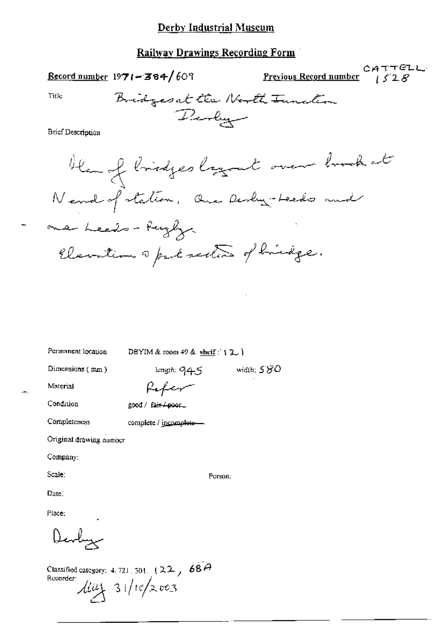### Derby Industrial Museum

#### Railway Drawings Recording Form

Record number  $1971 - 384/609$ 

CATTELL Previous Record number  $152R$ 

Title

Bridges at the North Tunction Perly

**Brief Description** 

then of bridges logout over book at Nend of station, Que Deslig-Leeds and one heeds - Rugby Elevation a part sectors of brindge.

Permanent location

DBYIM & room 49 & shelf:  $\{2, \}$ 

Dimensions (mm)

length;  $945$  width;  $580$ 

Person:

Material

Refer

Condition

Completeness

good / fair/poor\_

complete / incomplete-

Original drawing number

Company:

Scale:

Date:

Place:

Devly

Classified category: 4.721, 501,  $(22, 68)$ Recorder:  $\lim_{x\to 3} 31/10/x$  003